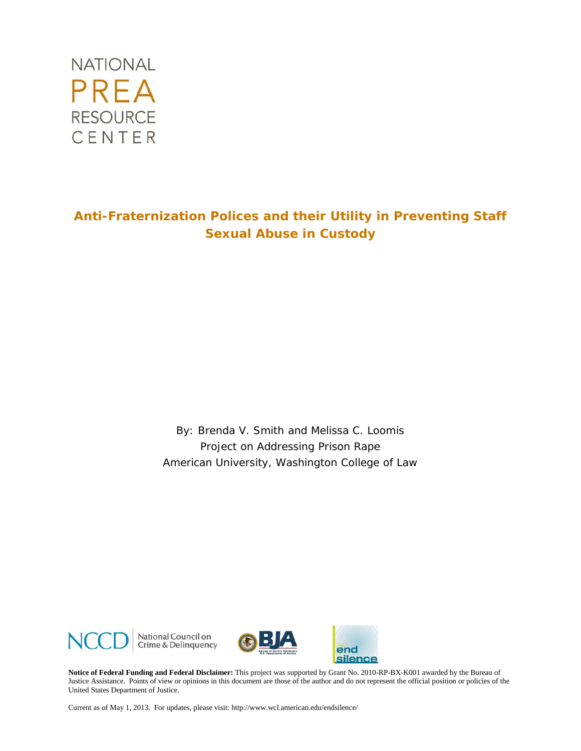

## **Anti-Fraternization Polices and their Utility in Preventing Staff Sexual Abuse in Custody**

By: Brenda V. Smith and Melissa C. Loomis Project on Addressing Prison Rape American University, Washington College of Law



National Council on<br>Crime & Delinquency



end silence

**Notice of Federal Funding and Federal Disclaimer:** This project was supported by Grant No. 2010-RP-BX-K001 awarded by the Bureau of Justice Assistance. Points of view or opinions in this document are those of the author and do not represent the official position or policies of the United States Department of Justice.

Current as of May 1, 2013. For updates, please visit: http://www.wcl.american.edu/endsilence/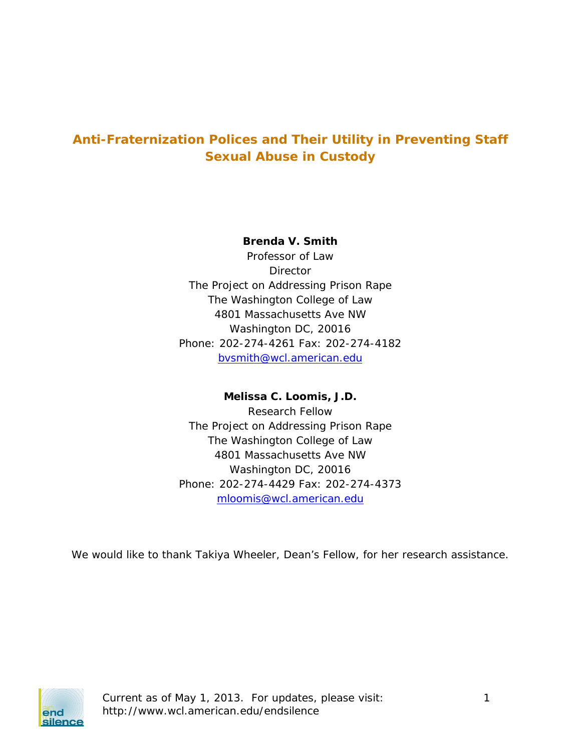# **Anti-Fraternization Polices and Their Utility in Preventing Staff Sexual Abuse in Custody**

**Brenda V. Smith**

Professor of Law **Director** The Project on Addressing Prison Rape The Washington College of Law 4801 Massachusetts Ave NW Washington DC, 20016 Phone: 202-274-4261 Fax: 202-274-4182 [bvsmith@wcl.american.edu](mailto:bvsmith@wcl.american.edu)

**Melissa C. Loomis, J.D.**  Research Fellow The Project on Addressing Prison Rape The Washington College of Law 4801 Massachusetts Ave NW Washington DC, 20016 Phone: 202-274-4429 Fax: 202-274-4373 [mloomis@wcl.american.edu](mailto:mloomis@wcl.american.edu)

We would like to thank Takiya Wheeler, Dean's Fellow, for her research assistance.



Current as of May 1, 2013. For updates, please visit: 1 http://www.wcl.american.edu/endsilence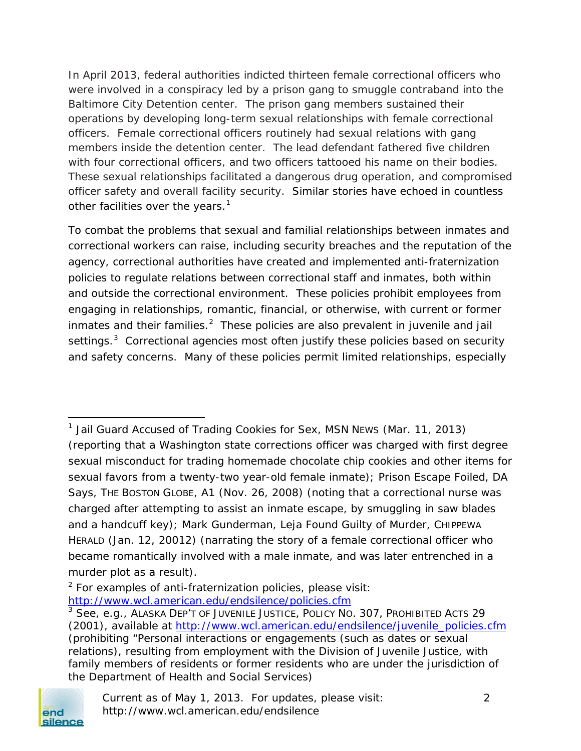In April 2013, federal authorities indicted thirteen female correctional officers who were involved in a conspiracy led by a prison gang to smuggle contraband into the Baltimore City Detention center. The prison gang members sustained their operations by developing long-term sexual relationships with female correctional officers. Female correctional officers routinely had sexual relations with gang members inside the detention center. The lead defendant fathered five children with four correctional officers, and two officers tattooed his name on their bodies. These sexual relationships facilitated a dangerous drug operation, and compromised officer safety and overall facility security. Similar stories have echoed in countless other facilities over the years. $1$ 

To combat the problems that sexual and familial relationships between inmates and correctional workers can raise, including security breaches and the reputation of the agency, correctional authorities have created and implemented anti-fraternization policies to regulate relations between correctional staff and inmates, both within and outside the correctional environment. These policies prohibit employees from engaging in relationships, romantic, financial, or otherwise, with current or former inmates and their families.<sup>[2](#page-2-1)</sup> These policies are also prevalent in juvenile and jail settings.<sup>[3](#page-2-2)</sup> Correctional agencies most often justify these policies based on security and safety concerns. Many of these policies permit limited relationships, especially

<span id="page-2-2"></span><span id="page-2-1"></span><sup>3</sup> *See, e.g.*, ALASKA DEP'T OF JUVENILE JUSTICE, POLICY NO. 307, PROHIBITED ACTS 29 (2001), *available at* [http://www.wcl.american.edu/endsilence/juvenile\\_policies.cfm](http://www.wcl.american.edu/endsilence/juvenile_policies.cfm) (prohibiting "Personal interactions or engagements (such as dates or sexual relations), resulting from employment with the Division of Juvenile Justice, with family members of residents or former residents who are under the jurisdiction of the Department of Health and Social Services)



 $\overline{\phantom{a}}$ 

<span id="page-2-0"></span><sup>1</sup> *Jail Guard Accused of Trading Cookies for Sex,* MSN NEWS (Mar. 11, 2013) (reporting that a Washington state corrections officer was charged with first degree sexual misconduct for trading homemade chocolate chip cookies and other items for sexual favors from a twenty-two year-old female inmate); *Prison Escape Foiled, DA Says*, THE BOSTON GLOBE*,* A1 (Nov. 26, 2008) (noting that a correctional nurse was charged after attempting to assist an inmate escape, by smuggling in saw blades and a handcuff key); Mark Gunderman, *Leja Found Guilty of Murder*, CHIPPEWA HERALD (Jan. 12, 20012) (narrating the story of a female correctional officer who became romantically involved with a male inmate, and was later entrenched in a murder plot as a result).

 $2$  For examples of anti-fraternization policies, please visit: <http://www.wcl.american.edu/endsilence/policies.cfm>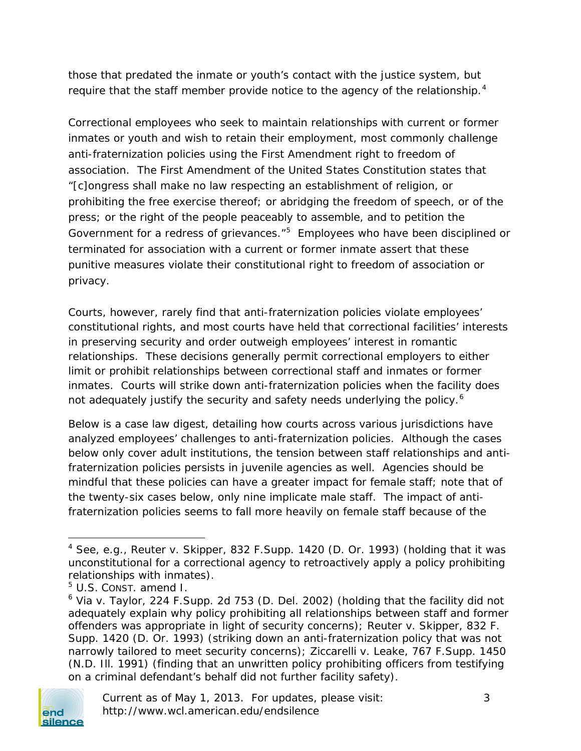those that predated the inmate or youth's contact with the justice system, but require that the staff member provide notice to the agency of the relationship.<sup>[4](#page-3-0)</sup>

Correctional employees who seek to maintain relationships with current or former inmates or youth and wish to retain their employment, most commonly challenge anti-fraternization policies using the First Amendment right to freedom of association. The First Amendment of the United States Constitution states that "[c]ongress shall make no law respecting an establishment of religion, or prohibiting the free exercise thereof; or abridging the freedom of speech, or of the press; or the right of the people peaceably to assemble, and to petition the Government for a redress of grievances."<sup>[5](#page-3-1)</sup> Employees who have been disciplined or terminated for association with a current or former inmate assert that these punitive measures violate their constitutional right to freedom of association or privacy.

Courts, however, rarely find that anti-fraternization policies violate employees' constitutional rights, and most courts have held that correctional facilities' interests in preserving security and order outweigh employees' interest in romantic relationships. These decisions generally permit correctional employers to either limit or prohibit relationships between correctional staff and inmates or former inmates. Courts will strike down anti-fraternization policies when the facility does not adequately justify the security and safety needs underlying the policy.<sup>[6](#page-3-2)</sup>

Below is a case law digest, detailing how courts across various jurisdictions have analyzed employees' challenges to anti-fraternization policies. Although the cases below only cover adult institutions, the tension between staff relationships and antifraternization policies persists in juvenile agencies as well. Agencies should be mindful that these policies can have a greater impact for female staff; note that of the twenty-six cases below, only nine implicate male staff. The impact of antifraternization policies seems to fall more heavily on female staff because of the

<span id="page-3-2"></span><span id="page-3-1"></span><span id="page-3-0"></span> $6$  Via v. Taylor, 224 F. Supp. 2d 753 (D. Del. 2002) (holding that the facility did not adequately explain why policy prohibiting all relationships between staff and former offenders was appropriate in light of security concerns); Reuter v. Skipper, 832 F. Supp. 1420 (D. Or. 1993) (striking down an anti-fraternization policy that was not narrowly tailored to meet security concerns); Ziccarelli v. Leake, 767 F.Supp. 1450 (N.D. Ill. 1991) (finding that an unwritten policy prohibiting officers from testifying on a criminal defendant's behalf did not further facility safety).



 $\overline{\phantom{a}}$ 

<sup>4</sup> *See, e.g.*, Reuter v. Skipper, 832 F.Supp. 1420 (D. Or. 1993) (holding that it was unconstitutional for a correctional agency to retroactively apply a policy prohibiting relationships with inmates).

<sup>5</sup> U.S. CONST. amend I.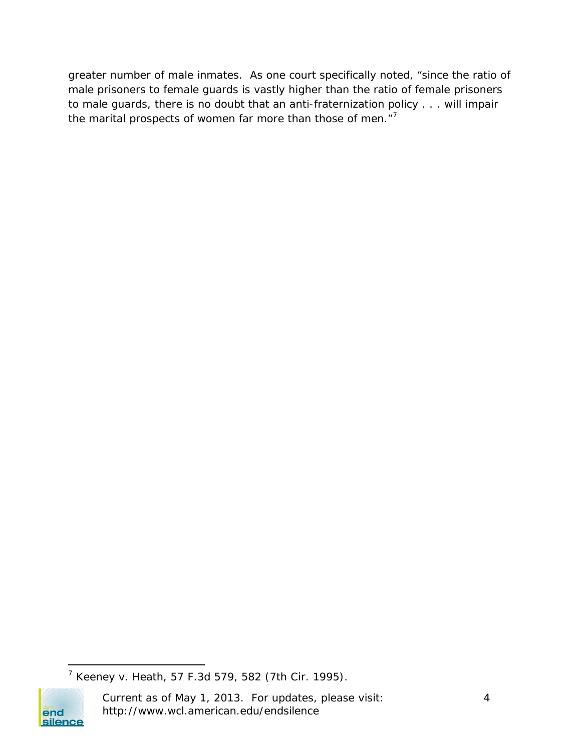greater number of male inmates. As one court specifically noted, "since the ratio of male prisoners to female guards is vastly higher than the ratio of female prisoners to male guards, there is no doubt that an anti-fraternization policy . . . will impair the marital prospects of women far more than those of men."<sup>[7](#page-4-0)</sup>

<span id="page-4-0"></span>l <sup>7</sup> Keeney v. Heath, 57 F.3d 579, 582 (7th Cir. 1995).



Current as of May 1, 2013. For updates, please visit: 4 http://www.wcl.american.edu/endsilence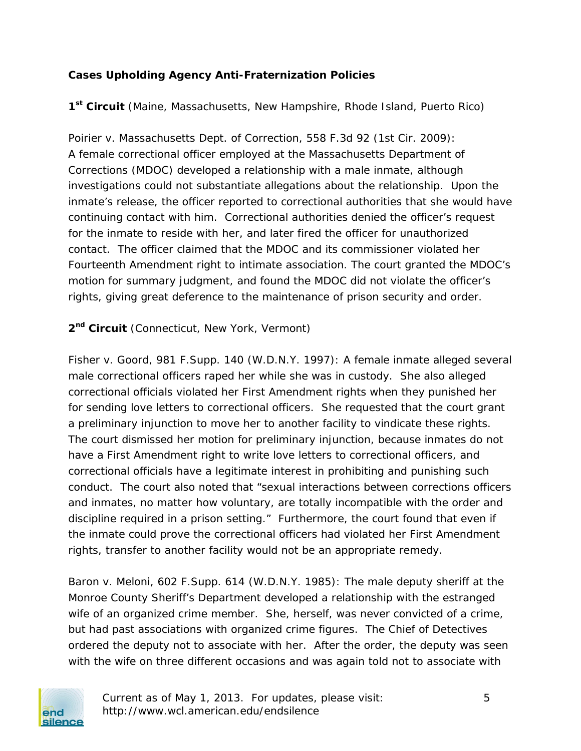## **Cases Upholding Agency Anti-Fraternization Policies**

**1st Circuit** (Maine, Massachusetts, New Hampshire, Rhode Island, Puerto Rico)

*Poirier v. Massachusetts Dept. of Correction*, 558 F.3d 92 (1st Cir. 2009): A female correctional officer employed at the Massachusetts Department of Corrections (MDOC) developed a relationship with a male inmate, although investigations could not substantiate allegations about the relationship. Upon the inmate's release, the officer reported to correctional authorities that she would have continuing contact with him. Correctional authorities denied the officer's request for the inmate to reside with her, and later fired the officer for unauthorized contact. The officer claimed that the MDOC and its commissioner violated her Fourteenth Amendment right to intimate association. The court granted the MDOC's motion for summary judgment, and found the MDOC did not violate the officer's rights, giving great deference to the maintenance of prison security and order.

2<sup>nd</sup> Circuit (Connecticut, New York, Vermont)

*Fisher v. Goord*, 981 F.Supp. 140 (W.D.N.Y. 1997): A female inmate alleged several male correctional officers raped her while she was in custody. She also alleged correctional officials violated her First Amendment rights when they punished her for sending love letters to correctional officers. She requested that the court grant a preliminary injunction to move her to another facility to vindicate these rights. The court dismissed her motion for preliminary injunction, because inmates do not have a First Amendment right to write love letters to correctional officers, and correctional officials have a legitimate interest in prohibiting and punishing such conduct. The court also noted that "sexual interactions between corrections officers and inmates, no matter how voluntary, are totally incompatible with the order and discipline required in a prison setting." Furthermore, the court found that even if the inmate could prove the correctional officers had violated her First Amendment rights, transfer to another facility would not be an appropriate remedy.

*Baron v. Meloni*, 602 F.Supp. 614 (W.D.N.Y. 1985): The male deputy sheriff at the Monroe County Sheriff's Department developed a relationship with the estranged wife of an organized crime member. She, herself, was never convicted of a crime, but had past associations with organized crime figures. The Chief of Detectives ordered the deputy not to associate with her. After the order, the deputy was seen with the wife on three different occasions and was again told not to associate with

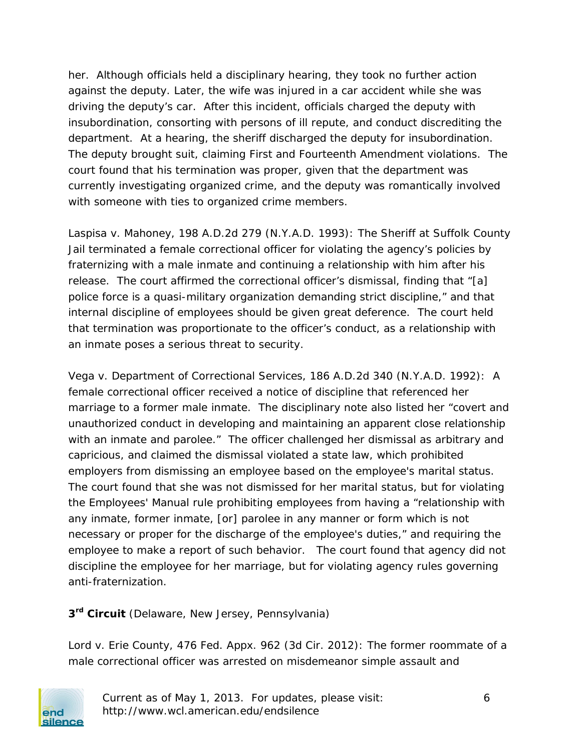her. Although officials held a disciplinary hearing, they took no further action against the deputy. Later, the wife was injured in a car accident while she was driving the deputy's car. After this incident, officials charged the deputy with insubordination, consorting with persons of ill repute, and conduct discrediting the department. At a hearing, the sheriff discharged the deputy for insubordination. The deputy brought suit, claiming First and Fourteenth Amendment violations. The court found that his termination was proper, given that the department was currently investigating organized crime, and the deputy was romantically involved with someone with ties to organized crime members.

*Laspisa v. Mahoney*, 198 A.D.2d 279 (N.Y.A.D. 1993): The Sheriff at Suffolk County Jail terminated a female correctional officer for violating the agency's policies by fraternizing with a male inmate and continuing a relationship with him after his release. The court affirmed the correctional officer's dismissal, finding that "[a] police force is a quasi-military organization demanding strict discipline," and that internal discipline of employees should be given great deference. The court held that termination was proportionate to the officer's conduct, as a relationship with an inmate poses a serious threat to security.

*Vega v. Department of Correctional Services*, 186 A.D.2d 340 (N.Y.A.D. 1992): A female correctional officer received a notice of discipline that referenced her marriage to a former male inmate. The disciplinary note also listed her "covert and unauthorized conduct in developing and maintaining an apparent close relationship with an inmate and parolee." The officer challenged her dismissal as arbitrary and capricious, and claimed the dismissal violated a state law, which prohibited employers from dismissing an employee based on the employee's marital status. The court found that she was not dismissed for her marital status, but for violating the Employees' Manual rule prohibiting employees from having a "relationship with any inmate, former inmate, [or] parolee in any manner or form which is not necessary or proper for the discharge of the employee's duties," and requiring the employee to make a report of such behavior. The court found that agency did not discipline the employee for her marriage, but for violating agency rules governing anti-fraternization.

**3rd Circuit** (Delaware, New Jersey, Pennsylvania)

*Lord v. Erie County,* 476 Fed. Appx. 962 (3d Cir. 2012): The former roommate of a male correctional officer was arrested on misdemeanor simple assault and



Current as of May 1, 2013. For updates, please visit: 6 http://www.wcl.american.edu/endsilence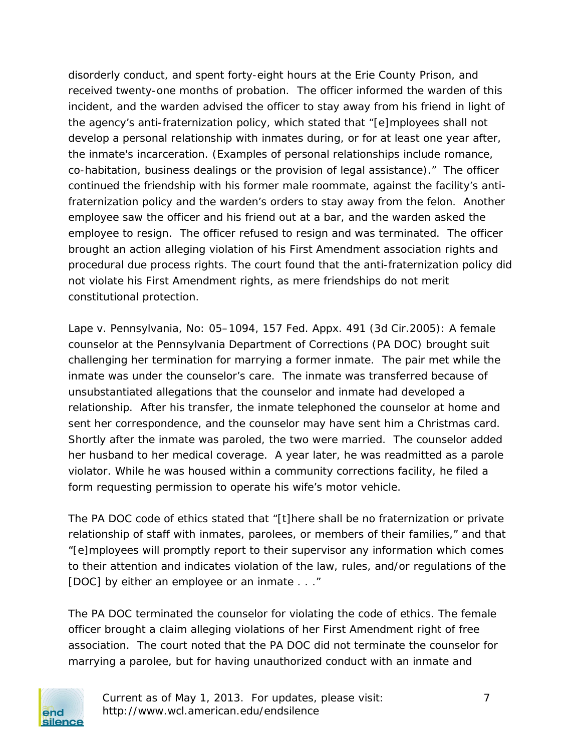disorderly conduct, and spent forty-eight hours at the Erie County Prison, and received twenty-one months of probation. The officer informed the warden of this incident, and the warden advised the officer to stay away from his friend in light of the agency's anti-fraternization policy, which stated that "[e]mployees shall not develop a personal relationship with inmates during, or for at least one year after, the inmate's incarceration. (Examples of personal relationships include romance, co-habitation, business dealings or the provision of legal assistance)." The officer continued the friendship with his former male roommate, against the facility's antifraternization policy and the warden's orders to stay away from the felon. Another employee saw the officer and his friend out at a bar, and the warden asked the employee to resign. The officer refused to resign and was terminated. The officer brought an action alleging violation of his First Amendment association rights and procedural due process rights. The court found that the anti-fraternization policy did not violate his First Amendment rights, as mere friendships do not merit constitutional protection.

*Lape v. Pennsylvania*, No: 05–1094, 157 Fed. Appx. 491 (3d Cir.2005): A female counselor at the Pennsylvania Department of Corrections (PA DOC) brought suit challenging her termination for marrying a former inmate. The pair met while the inmate was under the counselor's care. The inmate was transferred because of unsubstantiated allegations that the counselor and inmate had developed a relationship. After his transfer, the inmate telephoned the counselor at home and sent her correspondence, and the counselor may have sent him a Christmas card. Shortly after the inmate was paroled, the two were married. The counselor added her husband to her medical coverage. A year later, he was readmitted as a parole violator. While he was housed within a community corrections facility, he filed a form requesting permission to operate his wife's motor vehicle.

The PA DOC code of ethics stated that "[t]here shall be no fraternization or private relationship of staff with inmates, parolees, or members of their families," and that "[e]mployees will promptly report to their supervisor any information which comes to their attention and indicates violation of the law, rules, and/or regulations of the [DOC] by either an employee or an inmate . . ."

The PA DOC terminated the counselor for violating the code of ethics. The female officer brought a claim alleging violations of her First Amendment right of free association. The court noted that the PA DOC did not terminate the counselor for marrying a parolee, but for having unauthorized conduct with an inmate and



Current as of May 1, 2013. For updates, please visit: 7 http://www.wcl.american.edu/endsilence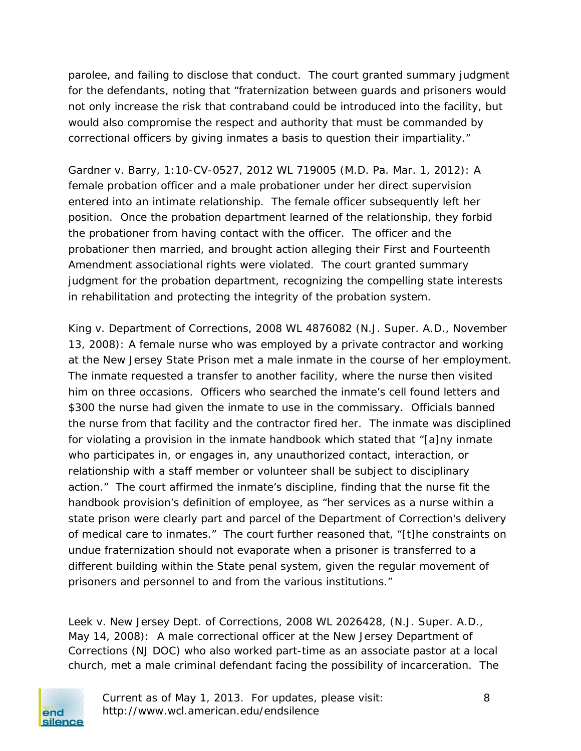parolee, and failing to disclose that conduct. The court granted summary judgment for the defendants, noting that "fraternization between guards and prisoners would not only increase the risk that contraband could be introduced into the facility, but would also compromise the respect and authority that must be commanded by correctional officers by giving inmates a basis to question their impartiality."

*Gardner v. Barry*, 1:10-CV-0527, 2012 WL 719005 (M.D. Pa. Mar. 1, 2012): A female probation officer and a male probationer under her direct supervision entered into an intimate relationship. The female officer subsequently left her position. Once the probation department learned of the relationship, they forbid the probationer from having contact with the officer. The officer and the probationer then married, and brought action alleging their First and Fourteenth Amendment associational rights were violated. The court granted summary judgment for the probation department, recognizing the compelling state interests in rehabilitation and protecting the integrity of the probation system.

*King v. Department of Corrections*, 2008 WL 4876082 (N.J. Super. A.D., November 13, 2008): A female nurse who was employed by a private contractor and working at the New Jersey State Prison met a male inmate in the course of her employment. The inmate requested a transfer to another facility, where the nurse then visited him on three occasions. Officers who searched the inmate's cell found letters and \$300 the nurse had given the inmate to use in the commissary. Officials banned the nurse from that facility and the contractor fired her. The inmate was disciplined for violating a provision in the inmate handbook which stated that "[a]ny inmate who participates in, or engages in, any unauthorized contact, interaction, or relationship with a staff member or volunteer shall be subject to disciplinary action." The court affirmed the inmate's discipline, finding that the nurse fit the handbook provision's definition of employee, as "her services as a nurse within a state prison were clearly part and parcel of the Department of Correction's delivery of medical care to inmates." The court further reasoned that, "[t]he constraints on undue fraternization should not evaporate when a prisoner is transferred to a different building within the State penal system, given the regular movement of prisoners and personnel to and from the various institutions."

*Leek v. New Jersey Dept. of Corrections*, 2008 WL 2026428, (N.J. Super. A.D., May 14, 2008): A male correctional officer at the New Jersey Department of Corrections (NJ DOC) who also worked part-time as an associate pastor at a local church, met a male criminal defendant facing the possibility of incarceration. The



Current as of May 1, 2013. For updates, please visit: 8 http://www.wcl.american.edu/endsilence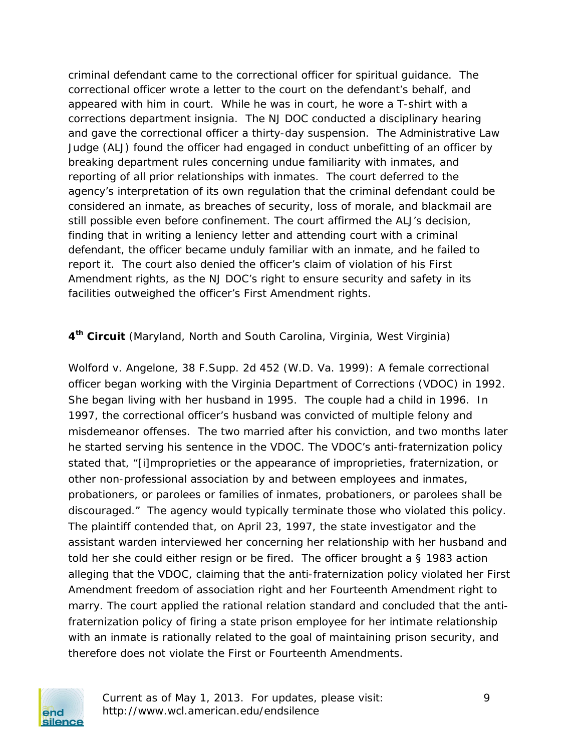criminal defendant came to the correctional officer for spiritual guidance. The correctional officer wrote a letter to the court on the defendant's behalf, and appeared with him in court. While he was in court, he wore a T-shirt with a corrections department insignia. The NJ DOC conducted a disciplinary hearing and gave the correctional officer a thirty-day suspension. The Administrative Law Judge (ALJ) found the officer had engaged in conduct unbefitting of an officer by breaking department rules concerning undue familiarity with inmates, and reporting of all prior relationships with inmates. The court deferred to the agency's interpretation of its own regulation that the criminal defendant could be considered an inmate, as breaches of security, loss of morale, and blackmail are still possible even before confinement. The court affirmed the ALJ's decision, finding that in writing a leniency letter and attending court with a criminal defendant, the officer became unduly familiar with an inmate, and he failed to report it. The court also denied the officer's claim of violation of his First Amendment rights, as the NJ DOC's right to ensure security and safety in its facilities outweighed the officer's First Amendment rights.

**4th Circuit** (Maryland, North and South Carolina, Virginia, West Virginia)

*Wolford v. Angelone*, 38 F.Supp. 2d 452 (W.D. Va. 1999): A female correctional officer began working with the Virginia Department of Corrections (VDOC) in 1992. She began living with her husband in 1995. The couple had a child in 1996. In 1997, the correctional officer's husband was convicted of multiple felony and misdemeanor offenses. The two married after his conviction, and two months later he started serving his sentence in the VDOC. The VDOC's anti-fraternization policy stated that, "[i]mproprieties or the appearance of improprieties, fraternization, or other non-professional association by and between employees and inmates, probationers, or parolees or families of inmates, probationers, or parolees shall be discouraged." The agency would typically terminate those who violated this policy. The plaintiff contended that, on April 23, 1997, the state investigator and the assistant warden interviewed her concerning her relationship with her husband and told her she could either resign or be fired. The officer brought a § 1983 action alleging that the VDOC, claiming that the anti-fraternization policy violated her First Amendment freedom of association right and her Fourteenth Amendment right to marry. The court applied the rational relation standard and concluded that the antifraternization policy of firing a state prison employee for her intimate relationship with an inmate is rationally related to the goal of maintaining prison security, and therefore does not violate the First or Fourteenth Amendments.



Current as of May 1, 2013. For updates, please visit: 9 http://www.wcl.american.edu/endsilence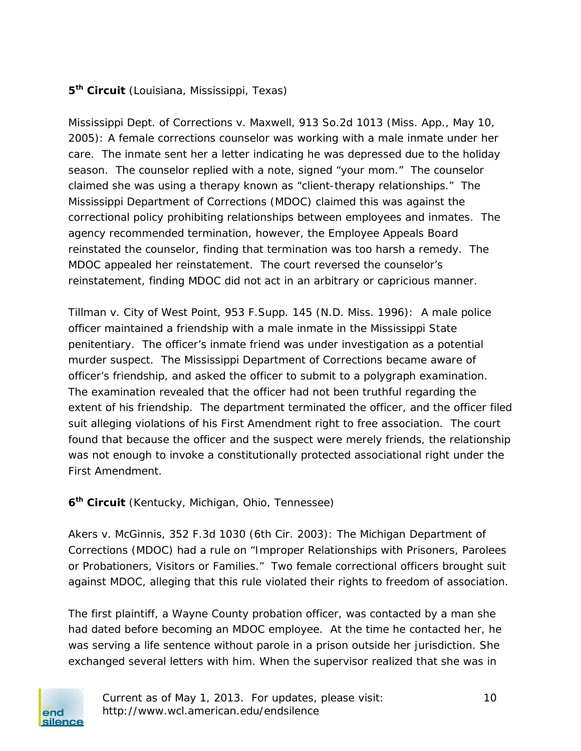## **5th Circuit** (Louisiana, Mississippi, Texas)

*Mississippi Dept. of Corrections v. Maxwell*, 913 So.2d 1013 (Miss. App., May 10, 2005): A female corrections counselor was working with a male inmate under her care. The inmate sent her a letter indicating he was depressed due to the holiday season. The counselor replied with a note, signed "your mom." The counselor claimed she was using a therapy known as "client-therapy relationships." The Mississippi Department of Corrections (MDOC) claimed this was against the correctional policy prohibiting relationships between employees and inmates. The agency recommended termination, however, the Employee Appeals Board reinstated the counselor, finding that termination was too harsh a remedy. The MDOC appealed her reinstatement. The court reversed the counselor's reinstatement, finding MDOC did not act in an arbitrary or capricious manner.

*Tillman v. City of West Point*, 953 F.Supp. 145 (N.D. Miss. 1996): A male police officer maintained a friendship with a male inmate in the Mississippi State penitentiary. The officer's inmate friend was under investigation as a potential murder suspect. The Mississippi Department of Corrections became aware of officer's friendship, and asked the officer to submit to a polygraph examination. The examination revealed that the officer had not been truthful regarding the extent of his friendship. The department terminated the officer, and the officer filed suit alleging violations of his First Amendment right to free association. The court found that because the officer and the suspect were merely friends, the relationship was not enough to invoke a constitutionally protected associational right under the First Amendment.

#### **6th Circuit** (Kentucky, Michigan, Ohio, Tennessee)

*Akers v. McGinnis,* 352 F.3d 1030 (6th Cir. 2003): The Michigan Department of Corrections (MDOC) had a rule on "Improper Relationships with Prisoners, Parolees or Probationers, Visitors or Families." Two female correctional officers brought suit against MDOC, alleging that this rule violated their rights to freedom of association.

The first plaintiff, a Wayne County probation officer, was contacted by a man she had dated before becoming an MDOC employee. At the time he contacted her, he was serving a life sentence without parole in a prison outside her jurisdiction. She exchanged several letters with him. When the supervisor realized that she was in

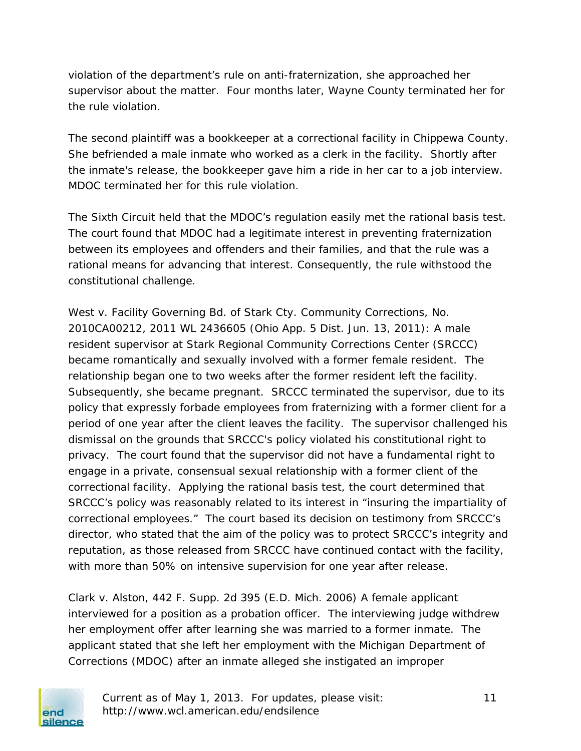violation of the department's rule on anti-fraternization, she approached her supervisor about the matter. Four months later, Wayne County terminated her for the rule violation.

The second plaintiff was a bookkeeper at a correctional facility in Chippewa County. She befriended a male inmate who worked as a clerk in the facility. Shortly after the inmate's release, the bookkeeper gave him a ride in her car to a job interview. MDOC terminated her for this rule violation.

The Sixth Circuit held that the MDOC's regulation easily met the rational basis test. The court found that MDOC had a legitimate interest in preventing fraternization between its employees and offenders and their families, and that the rule was a rational means for advancing that interest. Consequently, the rule withstood the constitutional challenge.

*West v. Facility Governing Bd. of Stark Cty. Community Corrections*, No. 2010CA00212, 2011 WL 2436605 (Ohio App. 5 Dist. Jun. 13, 2011): A male resident supervisor at Stark Regional Community Corrections Center (SRCCC) became romantically and sexually involved with a former female resident. The relationship began one to two weeks after the former resident left the facility. Subsequently, she became pregnant. SRCCC terminated the supervisor, due to its policy that expressly forbade employees from fraternizing with a former client for a period of one year after the client leaves the facility. The supervisor challenged his dismissal on the grounds that SRCCC's policy violated his constitutional right to privacy. The court found that the supervisor did not have a fundamental right to engage in a private, consensual sexual relationship with a former client of the correctional facility. Applying the rational basis test, the court determined that SRCCC's policy was reasonably related to its interest in "insuring the impartiality of correctional employees." The court based its decision on testimony from SRCCC's director, who stated that the aim of the policy was to protect SRCCC's integrity and reputation, as those released from SRCCC have continued contact with the facility, with more than 50% on intensive supervision for one year after release.

*Clark v. Alston*, 442 F. Supp. 2d 395 (E.D. Mich. 2006) A female applicant interviewed for a position as a probation officer. The interviewing judge withdrew her employment offer after learning she was married to a former inmate. The applicant stated that she left her employment with the Michigan Department of Corrections (MDOC) after an inmate alleged she instigated an improper

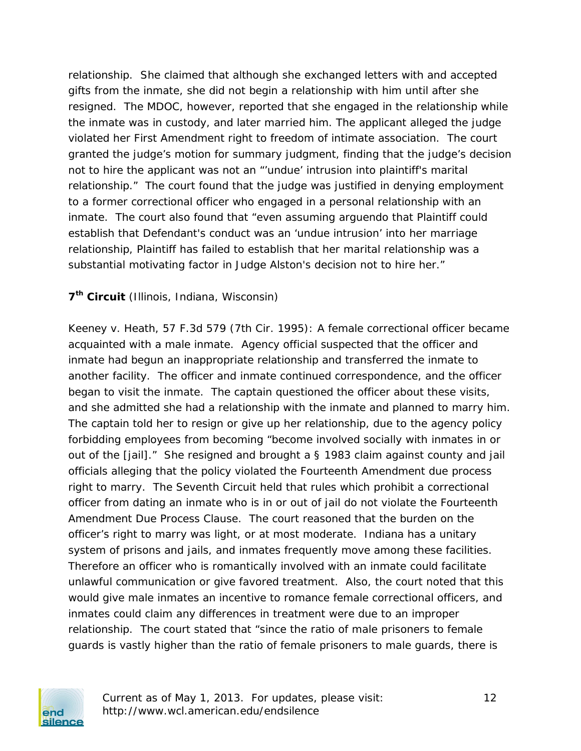relationship. She claimed that although she exchanged letters with and accepted gifts from the inmate, she did not begin a relationship with him until after she resigned. The MDOC, however, reported that she engaged in the relationship while the inmate was in custody, and later married him. The applicant alleged the judge violated her First Amendment right to freedom of intimate association. The court granted the judge's motion for summary judgment, finding that the judge's decision not to hire the applicant was not an "'undue' intrusion into plaintiff's marital relationship." The court found that the judge was justified in denying employment to a former correctional officer who engaged in a personal relationship with an inmate. The court also found that "even assuming arguendo that Plaintiff could establish that Defendant's conduct was an 'undue intrusion' into her marriage relationship, Plaintiff has failed to establish that her marital relationship was a substantial motivating factor in Judge Alston's decision not to hire her."

#### **7th Circuit** (Illinois, Indiana, Wisconsin)

*Keeney v. Heath*, 57 F.3d 579 (7th Cir. 1995): A female correctional officer became acquainted with a male inmate. Agency official suspected that the officer and inmate had begun an inappropriate relationship and transferred the inmate to another facility. The officer and inmate continued correspondence, and the officer began to visit the inmate. The captain questioned the officer about these visits, and she admitted she had a relationship with the inmate and planned to marry him. The captain told her to resign or give up her relationship, due to the agency policy forbidding employees from becoming "become involved socially with inmates in or out of the [jail]." She resigned and brought a § 1983 claim against county and jail officials alleging that the policy violated the Fourteenth Amendment due process right to marry. The Seventh Circuit held that rules which prohibit a correctional officer from dating an inmate who is in or out of jail do not violate the Fourteenth Amendment Due Process Clause. The court reasoned that the burden on the officer's right to marry was light, or at most moderate. Indiana has a unitary system of prisons and jails, and inmates frequently move among these facilities. Therefore an officer who is romantically involved with an inmate could facilitate unlawful communication or give favored treatment. Also, the court noted that this would give male inmates an incentive to romance female correctional officers, and inmates could claim any differences in treatment were due to an improper relationship. The court stated that "since the ratio of male prisoners to female guards is vastly higher than the ratio of female prisoners to male guards, there is



Current as of May 1, 2013. For updates, please visit: 12 http://www.wcl.american.edu/endsilence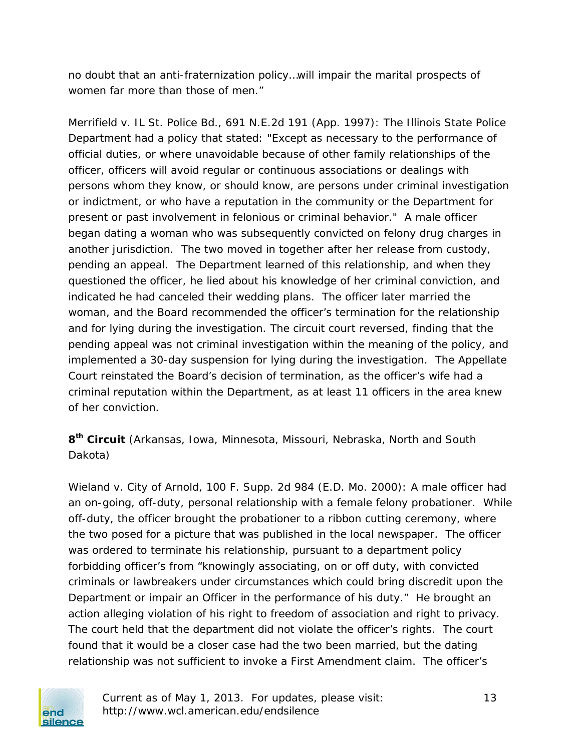no doubt that an anti-fraternization policy…will impair the marital prospects of women far more than those of men."

*Merrifield v. IL St. Police Bd.*, 691 N.E.2d 191 (App. 1997): The Illinois State Police Department had a policy that stated: "Except as necessary to the performance of official duties, or where unavoidable because of other family relationships of the officer, officers will avoid regular or continuous associations or dealings with persons *whom they know, or should know, are persons under criminal investigation or indictment*, or who have a *reputation in the community or the Department for present or past involvement in felonious or criminal behavior*." A male officer began dating a woman who was subsequently convicted on felony drug charges in another jurisdiction. The two moved in together after her release from custody, pending an appeal. The Department learned of this relationship, and when they questioned the officer, he lied about his knowledge of her criminal conviction, and indicated he had canceled their wedding plans. The officer later married the woman, and the Board recommended the officer's termination for the relationship and for lying during the investigation. The circuit court reversed, finding that the pending appeal was not criminal investigation within the meaning of the policy, and implemented a 30-day suspension for lying during the investigation. The Appellate Court reinstated the Board's decision of termination, as the officer's wife had a criminal reputation within the Department, as at least 11 officers in the area knew of her conviction.

**8th Circuit** (Arkansas, Iowa, Minnesota, Missouri, Nebraska, North and South Dakota)

*Wieland v. City of Arnold*, 100 F. Supp. 2d 984 (E.D. Mo. 2000): A male officer had an on-going, off-duty, personal relationship with a female felony probationer. While off-duty, the officer brought the probationer to a ribbon cutting ceremony, where the two posed for a picture that was published in the local newspaper. The officer was ordered to terminate his relationship, pursuant to a department policy forbidding officer's from "knowingly associating, on or off duty, with convicted criminals or lawbreakers under circumstances which could bring discredit upon the Department or impair an Officer in the performance of his duty." He brought an action alleging violation of his right to freedom of association and right to privacy. The court held that the department did not violate the officer's rights. The court found that it would be a closer case had the two been married, but the dating relationship was not sufficient to invoke a First Amendment claim. The officer's



Current as of May 1, 2013. For updates, please visit: 13 http://www.wcl.american.edu/endsilence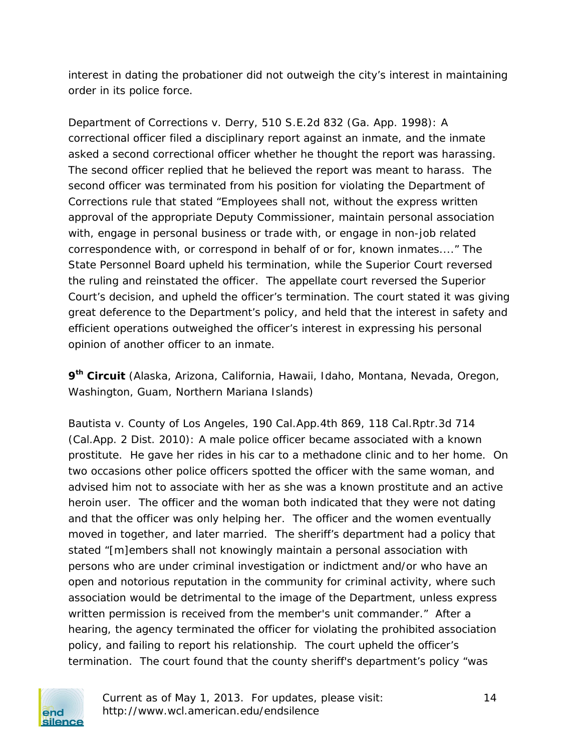interest in dating the probationer did not outweigh the city's interest in maintaining order in its police force.

*Department of Corrections v. Derry*, 510 S.E.2d 832 (Ga. App. 1998): A correctional officer filed a disciplinary report against an inmate, and the inmate asked a second correctional officer whether he thought the report was harassing. The second officer replied that he believed the report was meant to harass. The second officer was terminated from his position for violating the Department of Corrections rule that stated "Employees shall not, without the express written approval of the appropriate Deputy Commissioner, maintain personal association with, engage in personal business or trade with, or engage in non-job related correspondence with, or correspond in behalf of or for, known inmates...." The State Personnel Board upheld his termination, while the Superior Court reversed the ruling and reinstated the officer. The appellate court reversed the Superior Court's decision, and upheld the officer's termination. The court stated it was giving great deference to the Department's policy, and held that the interest in safety and efficient operations outweighed the officer's interest in expressing his personal opinion of another officer to an inmate.

**9th Circuit** (Alaska, Arizona, California, Hawaii, Idaho, Montana, Nevada, Oregon, Washington, Guam, Northern Mariana Islands)

*Bautista v. County of Los Angeles*, 190 Cal.App.4th 869, 118 Cal.Rptr.3d 714 (Cal.App. 2 Dist. 2010): A male police officer became associated with a known prostitute. He gave her rides in his car to a methadone clinic and to her home. On two occasions other police officers spotted the officer with the same woman, and advised him not to associate with her as she was a known prostitute and an active heroin user. The officer and the woman both indicated that they were not dating and that the officer was only helping her. The officer and the women eventually moved in together, and later married. The sheriff's department had a policy that stated "[m]embers shall not knowingly maintain a personal association with persons who are under criminal investigation or indictment and/or who have an open and notorious reputation in the community for criminal activity, where such association would be detrimental to the image of the Department, unless express written permission is received from the member's unit commander." After a hearing, the agency terminated the officer for violating the prohibited association policy, and failing to report his relationship. The court upheld the officer's termination. The court found that the county sheriff's department's policy "was



Current as of May 1, 2013. For updates, please visit: 14 http://www.wcl.american.edu/endsilence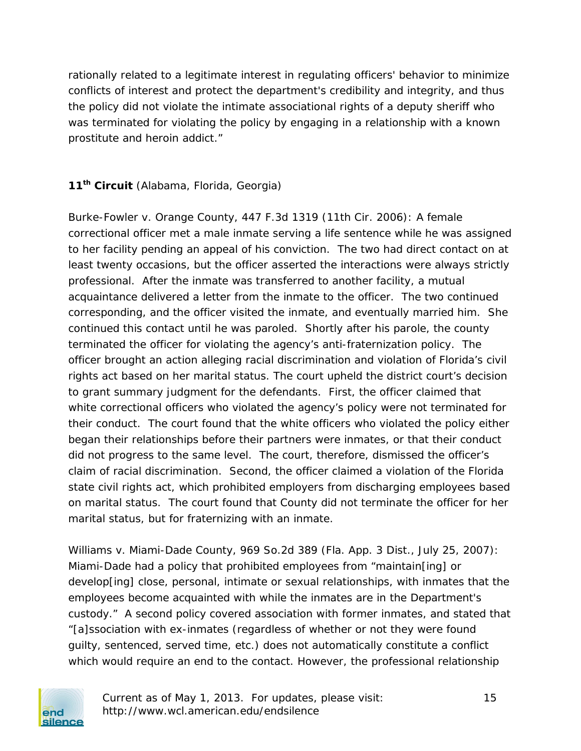rationally related to a legitimate interest in regulating officers' behavior to minimize conflicts of interest and protect the department's credibility and integrity, and thus the policy did not violate the intimate associational rights of a deputy sheriff who was terminated for violating the policy by engaging in a relationship with a known prostitute and heroin addict."

### **11th Circuit** (Alabama, Florida, Georgia)

*Burke-Fowler v. Orange County*, 447 F.3d 1319 (11th Cir. 2006): A female correctional officer met a male inmate serving a life sentence while he was assigned to her facility pending an appeal of his conviction. The two had direct contact on at least twenty occasions, but the officer asserted the interactions were always strictly professional. After the inmate was transferred to another facility, a mutual acquaintance delivered a letter from the inmate to the officer. The two continued corresponding, and the officer visited the inmate, and eventually married him. She continued this contact until he was paroled. Shortly after his parole, the county terminated the officer for violating the agency's anti-fraternization policy. The officer brought an action alleging racial discrimination and violation of Florida's civil rights act based on her marital status. The court upheld the district court's decision to grant summary judgment for the defendants. First, the officer claimed that white correctional officers who violated the agency's policy were not terminated for their conduct. The court found that the white officers who violated the policy either began their relationships before their partners were inmates, or that their conduct did not progress to the same level. The court, therefore, dismissed the officer's claim of racial discrimination. Second, the officer claimed a violation of the Florida state civil rights act, which prohibited employers from discharging employees based on marital status. The court found that County did not terminate the officer for her marital status, but for fraternizing with an inmate.

*Williams v. Miami-Dade County*, 969 So.2d 389 (Fla. App. 3 Dist., July 25, 2007): Miami-Dade had a policy that prohibited employees from "maintain[ing] or develop[ing] close, personal, intimate or sexual relationships, with inmates that the employees become acquainted with while the inmates are in the Department's custody." A second policy covered association with former inmates, and stated that "[a]ssociation with ex-inmates (regardless of whether or not they were found guilty, sentenced, served time, etc.) does not automatically constitute a conflict which would require an end to the contact. However, the professional relationship



Current as of May 1, 2013. For updates, please visit: 15 http://www.wcl.american.edu/endsilence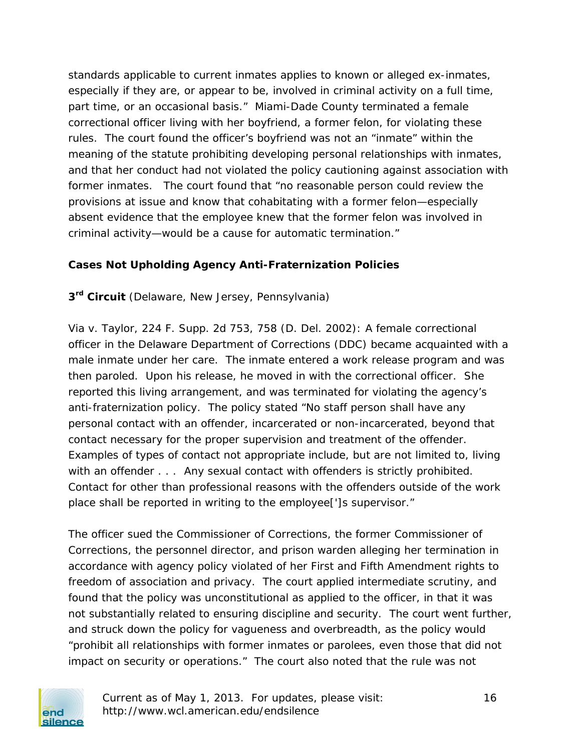standards applicable to current inmates applies to known or alleged ex-inmates, especially if they are, or appear to be, involved in criminal activity on a full time, part time, or an occasional basis." Miami-Dade County terminated a female correctional officer living with her boyfriend, a former felon, for violating these rules. The court found the officer's boyfriend was not an "inmate" within the meaning of the statute prohibiting developing personal relationships with inmates, and that her conduct had not violated the policy cautioning against association with former inmates. The court found that "no reasonable person could review the provisions at issue and know that cohabitating with a former felon—especially absent evidence that the employee knew that the former felon was involved in criminal activity—would be a cause for automatic termination."

#### **Cases Not Upholding Agency Anti-Fraternization Policies**

**3rd Circuit** (Delaware, New Jersey, Pennsylvania)

*Via v. Taylor,* 224 F. Supp. 2d 753, 758 (D. Del. 2002): A female correctional officer in the Delaware Department of Corrections (DDC) became acquainted with a male inmate under her care. The inmate entered a work release program and was then paroled. Upon his release, he moved in with the correctional officer. She reported this living arrangement, and was terminated for violating the agency's anti-fraternization policy. The policy stated "No staff person shall have any personal contact with an offender, incarcerated or non-incarcerated, beyond that contact necessary for the proper supervision and treatment of the offender. Examples of types of contact not appropriate include, but are not limited to, living with an offender . . . Any sexual contact with offenders is strictly prohibited. Contact for other than professional reasons with the offenders outside of the work place shall be reported in writing to the employee[']s supervisor."

The officer sued the Commissioner of Corrections, the former Commissioner of Corrections, the personnel director, and prison warden alleging her termination in accordance with agency policy violated of her First and Fifth Amendment rights to freedom of association and privacy. The court applied intermediate scrutiny, and found that the policy was unconstitutional as applied to the officer, in that it was not substantially related to ensuring discipline and security. The court went further, and struck down the policy for vagueness and overbreadth, as the policy would "prohibit all relationships with former inmates or parolees, even those that did not impact on security or operations." The court also noted that the rule was not



Current as of May 1, 2013. For updates, please visit: 16 http://www.wcl.american.edu/endsilence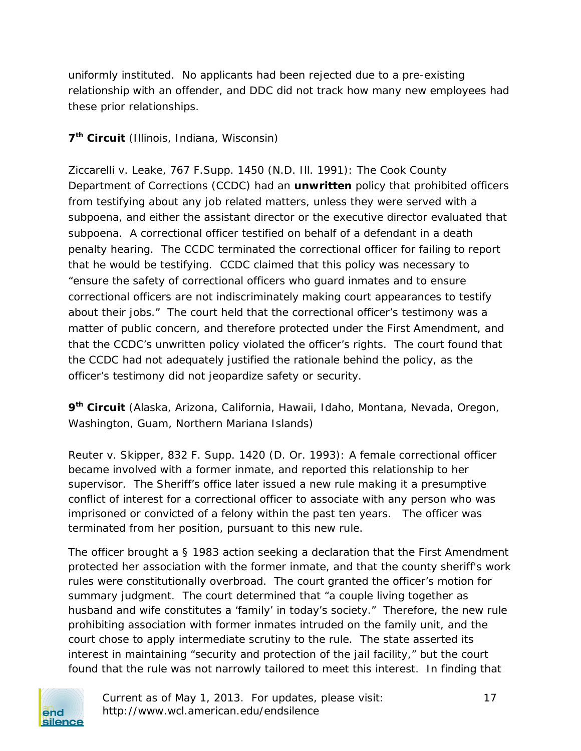uniformly instituted. No applicants had been rejected due to a pre-existing relationship with an offender, and DDC did not track how many new employees had these prior relationships.

### **7th Circuit** (Illinois, Indiana, Wisconsin)

*Ziccarelli v. Leake*, 767 F.Supp. 1450 (N.D. Ill. 1991): The Cook County Department of Corrections (CCDC) had an **unwritten** policy that prohibited officers from testifying about any job related matters, unless they were served with a subpoena, and either the assistant director or the executive director evaluated that subpoena. A correctional officer testified on behalf of a defendant in a death penalty hearing. The CCDC terminated the correctional officer for failing to report that he would be testifying. CCDC claimed that this policy was necessary to "ensure the safety of correctional officers who guard inmates and to ensure correctional officers are not indiscriminately making court appearances to testify about their jobs." The court held that the correctional officer's testimony was a matter of public concern, and therefore protected under the First Amendment, and that the CCDC's unwritten policy violated the officer's rights. The court found that the CCDC had not adequately justified the rationale behind the policy, as the officer's testimony did not jeopardize safety or security.

**9th Circuit** (Alaska, Arizona, California, Hawaii, Idaho, Montana, Nevada, Oregon, Washington, Guam, Northern Mariana Islands)

*Reuter v. Skipper,* 832 F. Supp. 1420 (D. Or. 1993): A female correctional officer became involved with a former inmate, and reported this relationship to her supervisor. The Sheriff's office later issued a new rule making it a presumptive conflict of interest for a correctional officer to associate with any person who was imprisoned or convicted of a felony within the past ten years. The officer was terminated from her position, pursuant to this new rule.

The officer brought a § 1983 action seeking a declaration that the First Amendment protected her association with the former inmate, and that the county sheriff's work rules were constitutionally overbroad. The court granted the officer's motion for summary judgment. The court determined that "a couple living together as husband and wife constitutes a 'family' in today's society." Therefore, the new rule prohibiting association with former inmates intruded on the family unit, and the court chose to apply intermediate scrutiny to the rule. The state asserted its interest in maintaining "security and protection of the jail facility," but the court found that the rule was not narrowly tailored to meet this interest. In finding that



Current as of May 1, 2013. For updates, please visit: 17 http://www.wcl.american.edu/endsilence